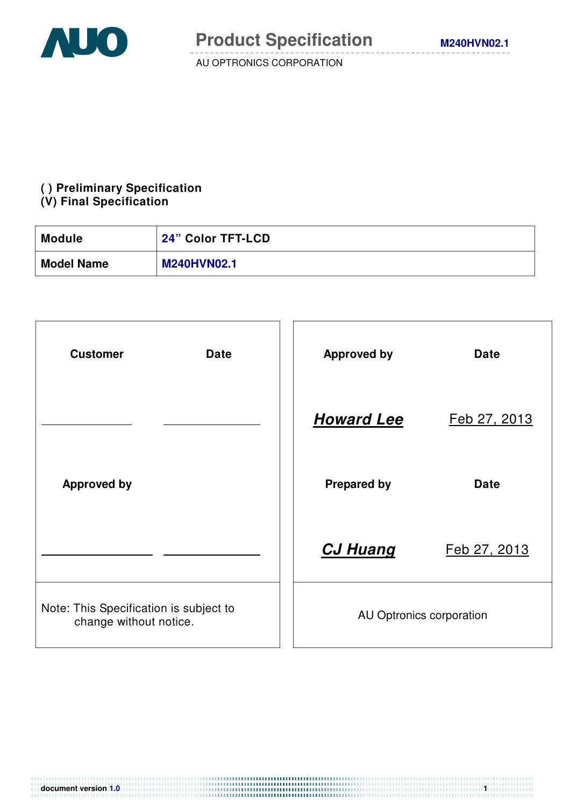

## **( ) Preliminary Specification**

#### **(V) Final Specification**

| <b>Module</b>     | 24" Color TFT-LCD  |
|-------------------|--------------------|
| <b>Model Name</b> | <b>M240HVN02.1</b> |

| <b>Customer</b><br><b>Date</b>                                   | <b>Approved by</b>       | <b>Date</b>  |  |
|------------------------------------------------------------------|--------------------------|--------------|--|
|                                                                  | <b>Howard Lee</b>        | Feb 27, 2013 |  |
| <b>Approved by</b>                                               | <b>Prepared by</b>       | <b>Date</b>  |  |
|                                                                  | <b>CJ Huang</b>          | Feb 27, 2013 |  |
| Note: This Specification is subject to<br>change without notice. | AU Optronics corporation |              |  |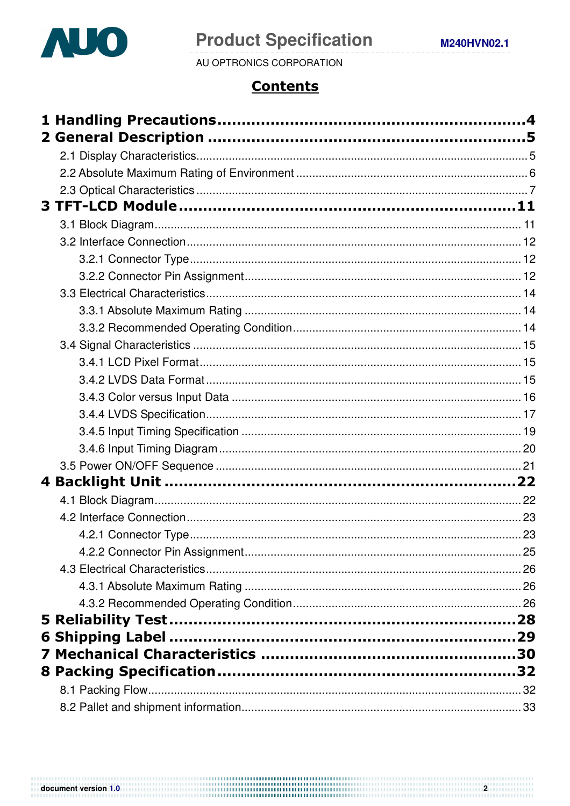

# **Product Specification**

AU OPTRONICS CORPORATION

## **Contents**

|  | 23 |
|--|----|
|  |    |
|  |    |
|  |    |
|  |    |
|  |    |
|  |    |
|  |    |
|  |    |
|  |    |
|  |    |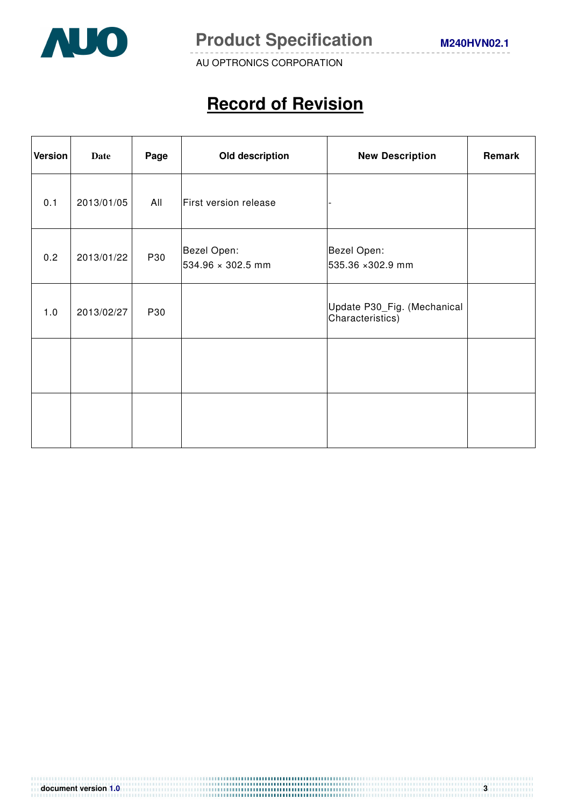

# **Record of Revision**

| <b>Version</b> | <b>Date</b> | Page | Old description                  | <b>New Description</b>                          | Remark |
|----------------|-------------|------|----------------------------------|-------------------------------------------------|--------|
| 0.1            | 2013/01/05  | All  | First version release            |                                                 |        |
| 0.2            | 2013/01/22  | P30  | Bezel Open:<br>534.96 × 302.5 mm | Bezel Open:<br>535.36 ×302.9 mm                 |        |
| 1.0            | 2013/02/27  | P30  |                                  | Update P30_Fig. (Mechanical<br>Characteristics) |        |
|                |             |      |                                  |                                                 |        |
|                |             |      |                                  |                                                 |        |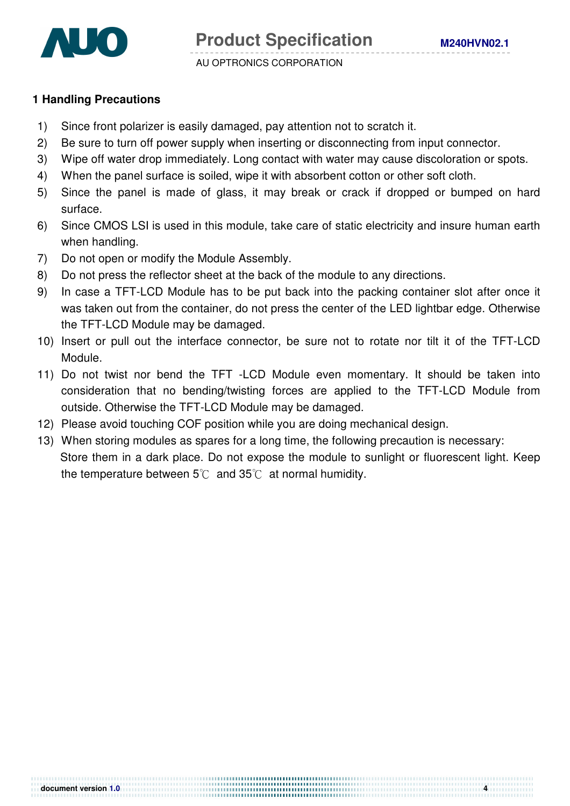

#### **1 Handling Precautions**

- 1) Since front polarizer is easily damaged, pay attention not to scratch it.
- 2) Be sure to turn off power supply when inserting or disconnecting from input connector.
- 3) Wipe off water drop immediately. Long contact with water may cause discoloration or spots.
- 4) When the panel surface is soiled, wipe it with absorbent cotton or other soft cloth.
- 5) Since the panel is made of glass, it may break or crack if dropped or bumped on hard surface.
- 6) Since CMOS LSI is used in this module, take care of static electricity and insure human earth when handling.
- 7) Do not open or modify the Module Assembly.
- 8) Do not press the reflector sheet at the back of the module to any directions.
- 9) In case a TFT-LCD Module has to be put back into the packing container slot after once it was taken out from the container, do not press the center of the LED lightbar edge. Otherwise the TFT-LCD Module may be damaged.
- 10) Insert or pull out the interface connector, be sure not to rotate nor tilt it of the TFT-LCD Module.
- 11) Do not twist nor bend the TFT -LCD Module even momentary. It should be taken into consideration that no bending/twisting forces are applied to the TFT-LCD Module from outside. Otherwise the TFT-LCD Module may be damaged.
- 12) Please avoid touching COF position while you are doing mechanical design.
- 13) When storing modules as spares for a long time, the following precaution is necessary: Store them in a dark place. Do not expose the module to sunlight or fluorescent light. Keep the temperature between  $5^{\circ}$  and  $35^{\circ}$  at normal humidity.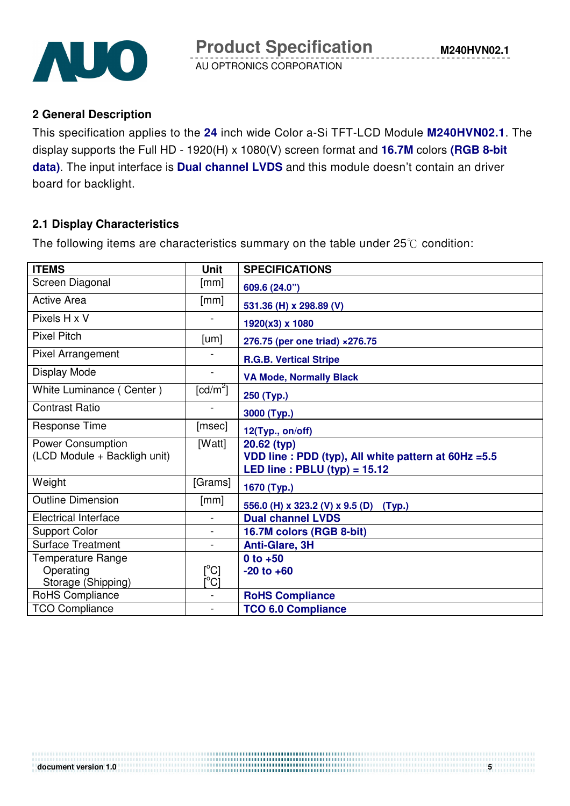

#### **2 General Description**

This specification applies to the **24** inch wide Color a-Si TFT-LCD Module **M240HVN02.1**. The display supports the Full HD - 1920(H) x 1080(V) screen format and **16.7M** colors **(RGB 8-bit data)**. The input interface is **Dual channel LVDS** and this module doesn't contain an driver board for backlight.

#### **2.1 Display Characteristics**

The following items are characteristics summary on the table under  $25^{\circ}$  condition:

| <b>ITEMS</b>                 | <b>Unit</b>              | <b>SPECIFICATIONS</b>                                                                   |
|------------------------------|--------------------------|-----------------------------------------------------------------------------------------|
| Screen Diagonal              | [mm]                     | 609.6 (24.0")                                                                           |
| <b>Active Area</b>           | [mm]                     | 531.36 (H) x 298.89 (V)                                                                 |
| Pixels H x V                 |                          | 1920(x3) x 1080                                                                         |
| <b>Pixel Pitch</b>           | [um]                     | 276.75 (per one triad) ×276.75                                                          |
| Pixel Arrangement            |                          | <b>R.G.B. Vertical Stripe</b>                                                           |
| Display Mode                 | $\blacksquare$           | <b>VA Mode, Normally Black</b>                                                          |
| White Luminance (Center)     | [ $cd/m^2$ ]             | 250 (Typ.)                                                                              |
| <b>Contrast Ratio</b>        |                          | 3000 (Typ.)                                                                             |
| Response Time                | [msec]                   | 12(Typ., on/off)                                                                        |
| Power Consumption            | [Watt]                   | 20.62 (typ)                                                                             |
| (LCD Module + Backligh unit) |                          | VDD line : PDD (typ), All white pattern at 60Hz = 5.5<br>LED line: $PBLU$ (typ) = 15.12 |
| Weight                       | [Grams]                  | 1670 (Typ.)                                                                             |
| <b>Outline Dimension</b>     | [mm]                     | 556.0 (H) x 323.2 (V) x 9.5 (D) (Typ.)                                                  |
| <b>Electrical Interface</b>  | $\overline{\phantom{a}}$ | <b>Dual channel LVDS</b>                                                                |
| <b>Support Color</b>         | $\blacksquare$           | 16.7M colors (RGB 8-bit)                                                                |
| <b>Surface Treatment</b>     | $\overline{a}$           | Anti-Glare, 3H                                                                          |
| <b>Temperature Range</b>     |                          | $0$ to $+50$                                                                            |
| Operating                    | $[^{\circ}C]$            | $-20$ to $+60$                                                                          |
| Storage (Shipping)           | $\rm [^{\circ}C]$        |                                                                                         |
| RoHS Compliance              | $\blacksquare$           | <b>RoHS Compliance</b>                                                                  |
| <b>TCO Compliance</b>        | $\blacksquare$           | <b>TCO 6.0 Compliance</b>                                                               |

...................................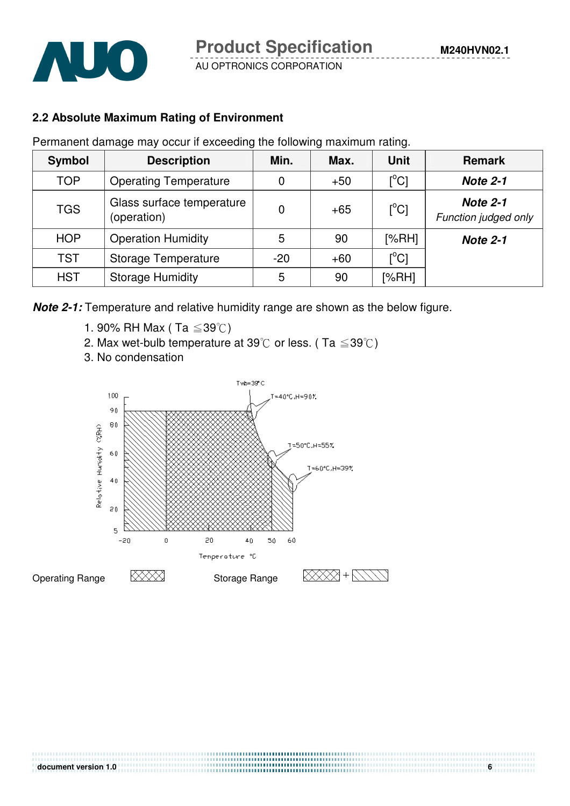

## **2.2 Absolute Maximum Rating of Environment**

Permanent damage may occur if exceeding the following maximum rating.

| <b>Symbol</b>                            | <b>Description</b>                       | Min.  | Max.  | <b>Unit</b>   | <b>Remark</b>                           |
|------------------------------------------|------------------------------------------|-------|-------|---------------|-----------------------------------------|
| <b>TOP</b>                               | <b>Operating Temperature</b>             | 0     | $+50$ | $[^{\circ}C]$ | <b>Note 2-1</b>                         |
| <b>TGS</b>                               | Glass surface temperature<br>(operation) | 0     | $+65$ | $[^{\circ}C]$ | <b>Note 2-1</b><br>Function judged only |
| <b>HOP</b>                               | <b>Operation Humidity</b>                | 5     | 90    | [%RH]         | <b>Note 2-1</b>                         |
| <b>TST</b><br><b>Storage Temperature</b> |                                          | $-20$ | $+60$ | $[^{\circ}C]$ |                                         |
| <b>HST</b>                               | <b>Storage Humidity</b>                  | 5     | 90    | [%RH]         |                                         |

**Note 2-1:** Temperature and relative humidity range are shown as the below figure.

- 1. 90% RH Max (Ta  $\leq 39^{\circ}$ C)
- 2. Max wet-bulb temperature at 39°C or less. (Ta  $\leq$  39°C)
- 3. No condensation

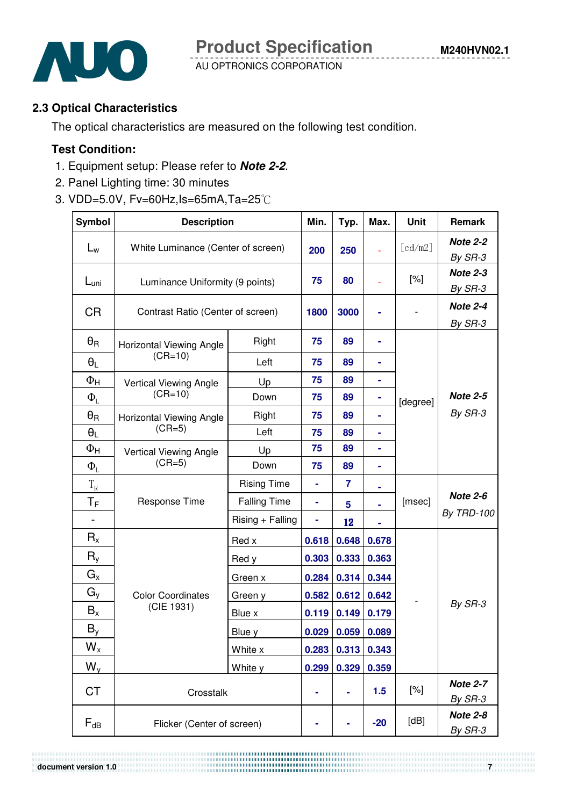

#### **2.3 Optical Characteristics**

The optical characteristics are measured on the following test condition.

## **Test Condition:**

- 1. Equipment setup: Please refer to **Note 2-2**.
- 2. Panel Lighting time: 30 minutes
- 3. VDD=5.0V,  $Fv=60Hz$ ,  $Is=65mA$ ,  $Ta=25^{\circ}$ C

| <b>Symbol</b>             | <b>Description</b>                 | Min.                | Typ.  | Max.  | <b>Unit</b>           | Remark                     |                            |
|---------------------------|------------------------------------|---------------------|-------|-------|-----------------------|----------------------------|----------------------------|
| $L_{w}$                   | White Luminance (Center of screen) | 200                 | 250   | L,    | $\lceil cd/m2 \rceil$ | <b>Note 2-2</b><br>By SR-3 |                            |
| $L_{\text{uni}}$          | Luminance Uniformity (9 points)    |                     | 75    | 80    |                       | $[\%]$                     | Note 2-3<br>By SR-3        |
| <b>CR</b>                 | Contrast Ratio (Center of screen)  |                     | 1800  | 3000  |                       |                            | Note 2-4<br>By SR-3        |
| $\theta_{\mathsf{R}}$     | <b>Horizontal Viewing Angle</b>    | Right               | 75    | 89    |                       |                            |                            |
| $\theta_L$                | $(CR=10)$                          | Left                | 75    | 89    |                       |                            |                            |
| $\Phi_{\mathsf{H}}$       | Vertical Viewing Angle             | Up                  | 75    | 89    | ۰                     |                            |                            |
| $\Phi_{L}$                | $(CR=10)$                          | Down                | 75    | 89    |                       | [degree]                   | <b>Note 2-5</b>            |
| $\theta_{\mathsf{R}}$     | Horizontal Viewing Angle           | Right               | 75    | 89    | ۰                     |                            | By SR-3                    |
| $\theta_L$                | $(CR=5)$                           | Left                | 75    | 89    | ۰                     |                            |                            |
| $\Phi_{\mathsf{H}}$       | Vertical Viewing Angle             | Up                  | 75    | 89    | ۰                     |                            |                            |
| $\Phi_{\rm L}$            | $(CR=5)$                           | Down                | 75    | 89    |                       |                            |                            |
| $T_R$                     |                                    | <b>Rising Time</b>  | ÷     | 7     |                       |                            |                            |
| $\mathsf{T}_\mathsf{F}$   | Response Time                      | <b>Falling Time</b> | ۰     | 5     |                       | [msec]                     | <b>Note 2-6</b>            |
|                           |                                    | Rising + Falling    | ۰     | 12    |                       |                            | <b>By TRD-100</b>          |
| $R_{x}$                   |                                    | Red x               | 0.618 | 0.648 | 0.678                 |                            |                            |
| $R_{y}$                   |                                    | Red y               | 0.303 | 0.333 | 0.363                 |                            |                            |
| $G_x$                     |                                    | Green x             | 0.284 | 0.314 | 0.344                 |                            |                            |
| $G_y$                     | <b>Color Coordinates</b>           | Green y             | 0.582 | 0.612 | 0.642                 |                            |                            |
| $B_{x}$                   | (CIE 1931)                         | Blue x              | 0.119 | 0.149 | 0.179                 |                            | By SR-3                    |
| $B_y$                     |                                    | Blue y              | 0.029 | 0.059 | 0.089                 |                            |                            |
| $\mathsf{W}_{\mathsf{x}}$ |                                    | White x             | 0.283 | 0.313 | 0.343                 |                            |                            |
| $W_{y}$                   | White y                            |                     | 0.299 | 0.329 | 0.359                 |                            |                            |
| <b>CT</b>                 | Crosstalk                          |                     | ۰     | ۰     | 1.5                   | [%]                        | <b>Note 2-7</b><br>By SR-3 |
| $F_{dB}$                  | Flicker (Center of screen)         |                     |       |       | $-20$                 | [dB]                       | <b>Note 2-8</b><br>By SR-3 |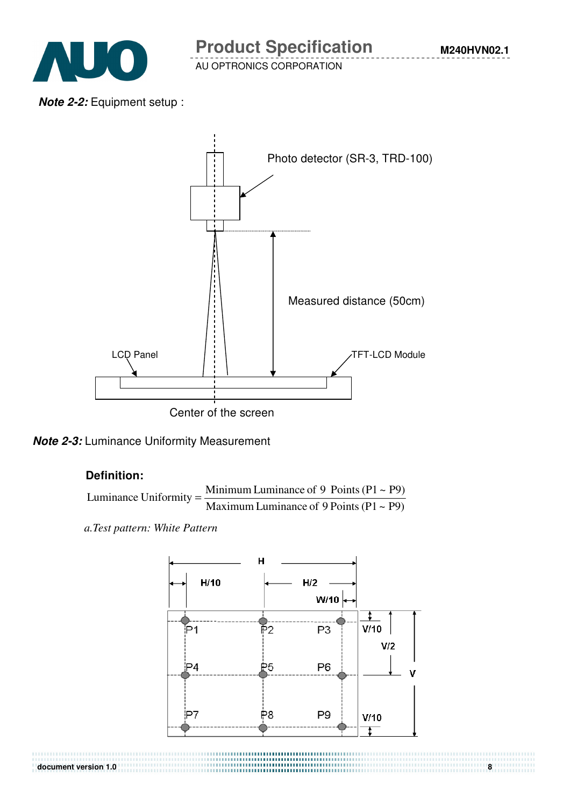

**M240HVN02.1**

**Note 2-2:** Equipment setup :





#### **Definition:**

Luminance Uniformity = 
$$
\frac{\text{Minimum Luminance of 9 Points (P1 ~ P9)}}{\text{Maximum Luminance of 9 Points (P1 ~ P9)}}
$$

*a.Test pattern: White Pattern*

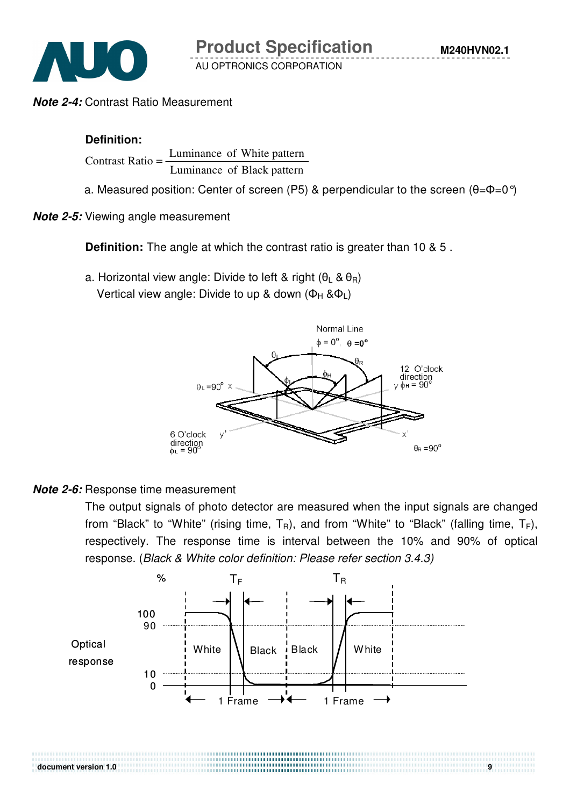

**Note 2-4:** Contrast Ratio Measurement

#### **Definition:**

Luminance of Black pattern Contrast Ratio  $=$  Luminance of White pattern

a. Measured position: Center of screen (P5) & perpendicular to the screen  $(\theta = \phi = 0^{\circ})$ 

**Note 2-5:** Viewing angle measurement

**Definition:** The angle at which the contrast ratio is greater than 10 & 5 .

a. Horizontal view angle: Divide to left & right  $(\theta_1 \& \theta_R)$ Vertical view angle: Divide to up & down ( $\Phi_H$  & $\Phi_L$ )



#### **Note 2-6:** Response time measurement

The output signals of photo detector are measured when the input signals are changed from "Black" to "White" (rising time,  $T_R$ ), and from "White" to "Black" (falling time,  $T_F$ ), respectively. The response time is interval between the 10% and 90% of optical response. (Black & White color definition: Please refer section 3.4.3)



#### **document version 1.0 9 <b>1.0 1.0 1.0 1.0 1.0 1.0 1.0 1.0 1.0 1.0 1.0 1.0 1.0 1.0 1.0 1.0 1.0 1.0 1.0 1.0 1.0 1.0 1.0 1.0 1.0 1.0 1.0 1.0 1.0 1.0 1.0 1.0 1.0**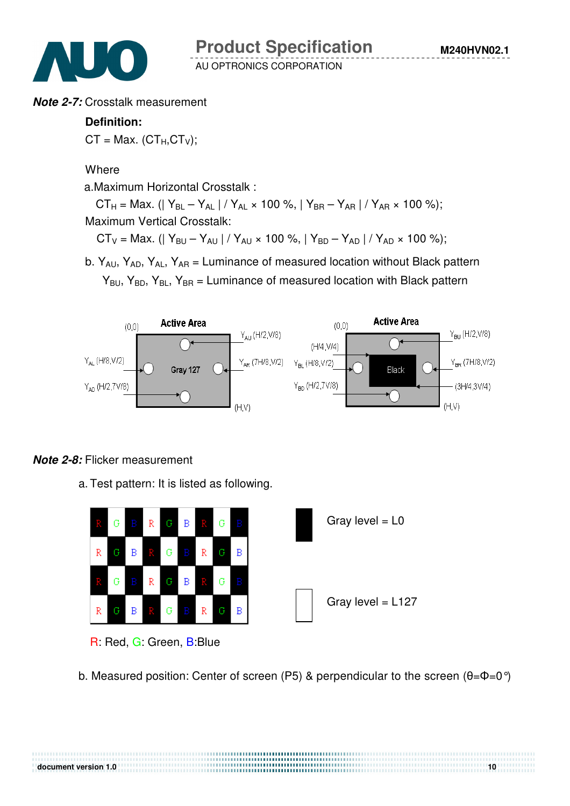

#### **Note 2-7:** Crosstalk measurement

#### **Definition:**

 $CT = Max. (CT<sub>H</sub>, CT<sub>V</sub>)$ ;

**Where** 

a.Maximum Horizontal Crosstalk :

 $CT_H = \text{Max.}$  (| Y<sub>BL</sub> – Y<sub>AL</sub> | / Y<sub>AL</sub> × 100 %, | Y<sub>BR</sub> – Y<sub>AR</sub> | / Y<sub>AR</sub> × 100 %); Maximum Vertical Crosstalk:

 $CT_V = Max.$  (|  $Y_{BU} - Y_{AU}$  | /  $Y_{AU} \times 100$  %, |  $Y_{BD} - Y_{AD}$  | /  $Y_{AD} \times 100$  %);

b.  $Y_{A1}$ ,  $Y_{AD}$ ,  $Y_{AI}$ ,  $Y_{AB}$  = Luminance of measured location without Black pattern  $Y_{BU}$ ,  $Y_{BD}$ ,  $Y_{BL}$ ,  $Y_{BR}$  = Luminance of measured location with Black pattern



### **Note 2-8:** Flicker measurement

a. Test pattern: It is listed as following.



R: Red, G: Green, B:Blue

b. Measured position: Center of screen (P5) & perpendicular to the screen  $(\theta = \phi = 0^{\circ})$ 

,,,,,,,,,,,,,,,,,,,,,,,,,,,,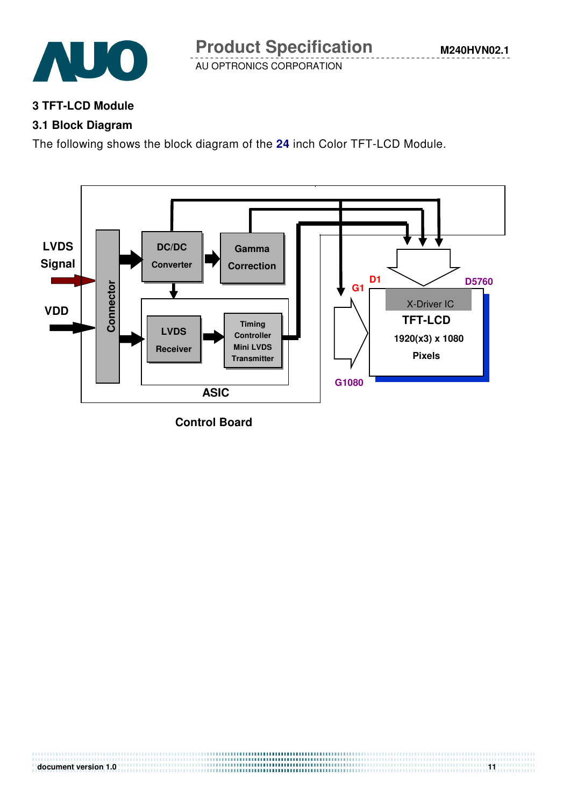

#### **3 TFT-LCD Module**

## **3.1 Block Diagram**

The following shows the block diagram of the **24** inch Color TFT-LCD Module.



**Control Board**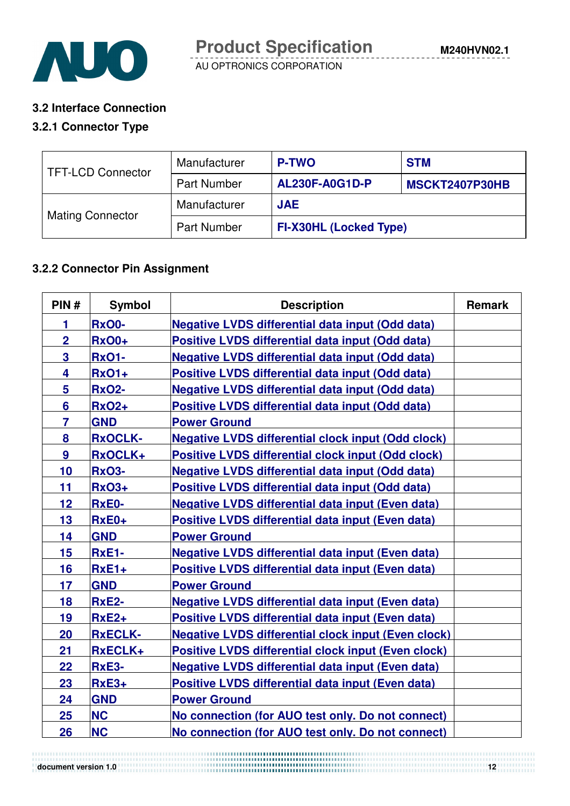

#### **3.2 Interface Connection**

#### **3.2.1 Connector Type**

| TFT-LCD Connector       | Manufacturer       | <b>P-TWO</b>                  | <b>STM</b>     |  |
|-------------------------|--------------------|-------------------------------|----------------|--|
|                         | <b>Part Number</b> | <b>AL230F-A0G1D-P</b>         | MSCKT2407P30HB |  |
|                         | Manufacturer       | <b>JAE</b>                    |                |  |
| <b>Mating Connector</b> | <b>Part Number</b> | <b>FI-X30HL (Locked Type)</b> |                |  |

## **3.2.2 Connector Pin Assignment**

| PIN#           | <b>Symbol</b>  | <b>Description</b>                                         | <b>Remark</b> |
|----------------|----------------|------------------------------------------------------------|---------------|
| 1              | <b>RxO0-</b>   | <b>Negative LVDS differential data input (Odd data)</b>    |               |
| $\overline{2}$ | <b>RxO0+</b>   | Positive LVDS differential data input (Odd data)           |               |
| 3              | <b>RxO1-</b>   | <b>Negative LVDS differential data input (Odd data)</b>    |               |
| 4              | <b>RxO1+</b>   | <b>Positive LVDS differential data input (Odd data)</b>    |               |
| 5              | <b>RxO2-</b>   | <b>Negative LVDS differential data input (Odd data)</b>    |               |
| $6\phantom{a}$ | <b>RxO2+</b>   | Positive LVDS differential data input (Odd data)           |               |
| $\overline{7}$ | <b>GND</b>     | <b>Power Ground</b>                                        |               |
| 8              | <b>RxOCLK-</b> | <b>Negative LVDS differential clock input (Odd clock)</b>  |               |
| 9              | RxOCLK+        | <b>Positive LVDS differential clock input (Odd clock)</b>  |               |
| 10             | <b>RxO3-</b>   | <b>Negative LVDS differential data input (Odd data)</b>    |               |
| 11             | <b>RxO3+</b>   | Positive LVDS differential data input (Odd data)           |               |
| 12             | <b>RxE0-</b>   | <b>Negative LVDS differential data input (Even data)</b>   |               |
| 13             | RxE0+          | Positive LVDS differential data input (Even data)          |               |
| 14             | <b>GND</b>     | <b>Power Ground</b>                                        |               |
| 15             | <b>RxE1-</b>   | <b>Negative LVDS differential data input (Even data)</b>   |               |
| 16             | $RxE1+$        | Positive LVDS differential data input (Even data)          |               |
| 17             | <b>GND</b>     | <b>Power Ground</b>                                        |               |
| 18             | <b>RxE2-</b>   | <b>Negative LVDS differential data input (Even data)</b>   |               |
| 19             | $RxE2+$        | Positive LVDS differential data input (Even data)          |               |
| 20             | <b>RxECLK-</b> | <b>Negative LVDS differential clock input (Even clock)</b> |               |
| 21             | RxECLK+        | <b>Positive LVDS differential clock input (Even clock)</b> |               |
| 22             | <b>RxE3-</b>   | <b>Negative LVDS differential data input (Even data)</b>   |               |
| 23             | $RxE3+$        | Positive LVDS differential data input (Even data)          |               |
| 24             | <b>GND</b>     | <b>Power Ground</b>                                        |               |
| 25             | <b>NC</b>      | No connection (for AUO test only. Do not connect)          |               |
| 26             | <b>NC</b>      | No connection (for AUO test only. Do not connect)          |               |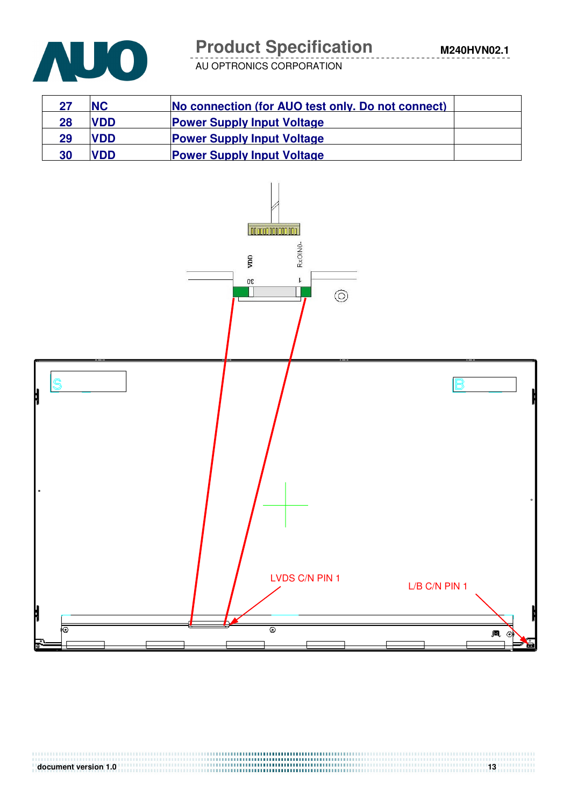

# **Product Specification**

AU OPTRONICS CORPORATION

| 27 | <b>NC</b>  | No connection (for AUO test only. Do not connect) |  |
|----|------------|---------------------------------------------------|--|
| 28 | <b>VDD</b> | <b>Power Supply Input Voltage</b>                 |  |
| 29 | <b>VDD</b> | <b>Power Supply Input Voltage</b>                 |  |
| 30 | <b>VDD</b> | <b>Power Supply Input Voltage</b>                 |  |

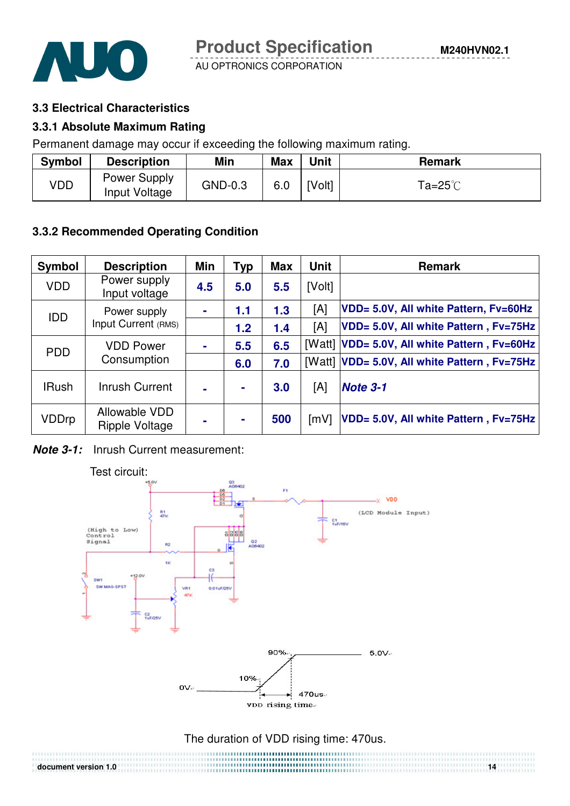#### **3.3 Electrical Characteristics**

#### **3.3.1 Absolute Maximum Rating**

Permanent damage may occur if exceeding the following maximum rating.

| <b>Symbol</b> | <b>Description</b>            | Min     | <b>Max</b> | <b>Unit</b> | <b>Remark</b>           |
|---------------|-------------------------------|---------|------------|-------------|-------------------------|
| VDD           | Power Supply<br>Input Voltage | GND-0.3 | 6.0        | [Volt]      | Ta=25 $^\circ\!{\rm C}$ |

### **3.3.2 Recommended Operating Condition**

| Symbol       | <b>Description</b>              | Min | <b>Typ</b> | <b>Max</b> | <b>Unit</b>        | <b>Remark</b>                         |
|--------------|---------------------------------|-----|------------|------------|--------------------|---------------------------------------|
| <b>VDD</b>   | Power supply<br>Input voltage   | 4.5 | 5.0        | 5.5        | [Volt]             |                                       |
| <b>IDD</b>   | Power supply                    |     | 1.1        | 1.3        | [A]                | VDD= 5.0V, All white Pattern, Fv=60Hz |
|              | Input Current (RMS)             |     | 1.2        | 1.4        | [A]                | VDD= 5.0V, All white Pattern, Fv=75Hz |
| <b>PDD</b>   | <b>VDD Power</b><br>Consumption |     | 5.5        | 6.5        | [Watt]             | VDD= 5.0V, All white Pattern, Fv=60Hz |
|              |                                 |     | 6.0        | 7.0        | [Watt]             | VDD= 5.0V, All white Pattern, Fv=75Hz |
| <b>IRush</b> | Inrush Current                  |     | ٠          | 3.0        | [A]                | Note 3-1                              |
| VDDrp        | Allowable VDD<br>Ripple Voltage |     |            | 500        | $\lceil mV \rceil$ | VDD= 5.0V, All white Pattern, Fv=75Hz |

**Note 3-1:** Inrush Current measurement:



## The duration of VDD rising time: 470us.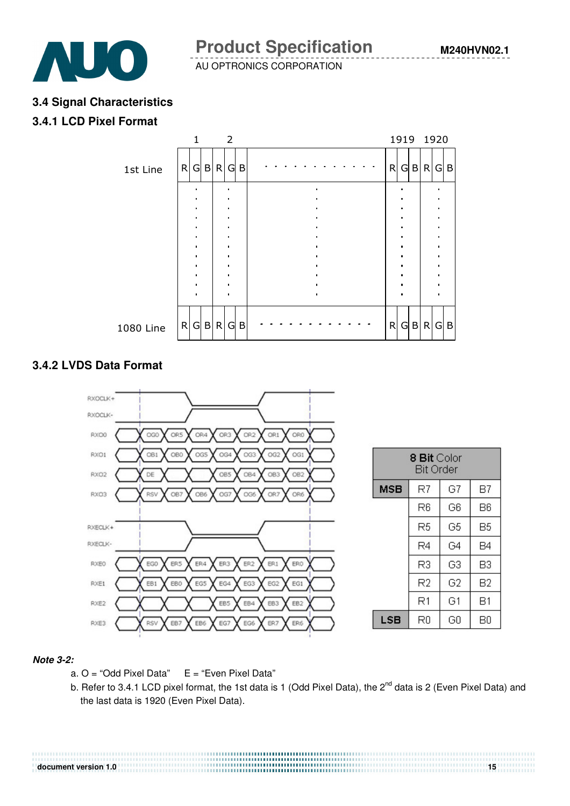

**Product Specification** 

AU OPTRONICS CORPORATION

#### **3.4 Signal Characteristics**

#### **3.4.1 LCD Pixel Format**



#### **3.4.2 LVDS Data Format**



#### **Note 3-2:**

- a.  $O = "Odd~Pixel~Data"$   $E = "Even~Pixel~Data"$
- b. Refer to 3.4.1 LCD pixel format, the 1st data is 1 (Odd Pixel Data), the 2<sup>nd</sup> data is 2 (Even Pixel Data) and the last data is 1920 (Even Pixel Data).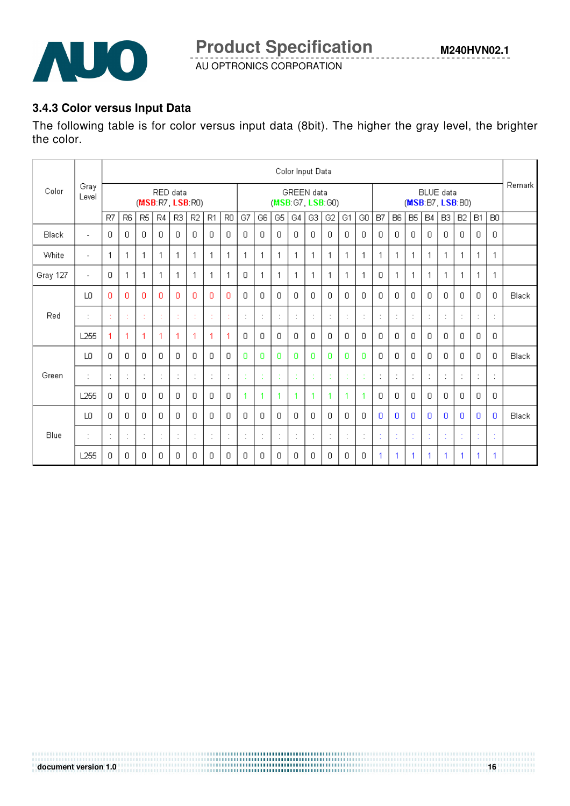

## **3.4.3 Color versus Input Data**

The following table is for color versus input data (8bit). The higher the gray level, the brighter the color.

|          |                          |                                     |                |                                 |                                       |                    |                |                      |                                        |         |              |                | Color Input Data |                      |                      |                      |              |                      |                      |             |           |                |              |                           |                |       |
|----------|--------------------------|-------------------------------------|----------------|---------------------------------|---------------------------------------|--------------------|----------------|----------------------|----------------------------------------|---------|--------------|----------------|------------------|----------------------|----------------------|----------------------|--------------|----------------------|----------------------|-------------|-----------|----------------|--------------|---------------------------|----------------|-------|
| Color    | Gray<br>Level            | RED data<br>(MSB: R7, LSB: R0)      |                |                                 | <b>GREEN</b> data<br>(MSB:G7, LSB:G0) |                    |                |                      | <b>BLUE</b> data<br>(MSB: B7, LSB: B0) |         |              |                |                  | Remark               |                      |                      |              |                      |                      |             |           |                |              |                           |                |       |
|          |                          | R7                                  | <b>R6</b>      | R <sub>5</sub>                  | R4                                    | R3                 | R <sub>2</sub> | R <sub>1</sub>       | R <sub>0</sub>                         | G7      | G6           | G5 $ $         | G4               | G3                   | G <sub>2</sub>       | G1                   | GO           | B7                   | <b>B6</b>            | <b>B5</b>   | <b>B4</b> | B <sub>3</sub> | B2           | <b>B1</b>                 | B <sub>0</sub> |       |
| Black    | $\overline{\phantom{a}}$ | 0                                   | $\mathbf{0}$   | $\Box$                          | $\Box$                                | $\Box$             | $\Box$         | $\Box$               | 0                                      | 0       | 0            | $\overline{0}$ | $\mathbf 0$      | $\mathbf 0$          | 0                    | $\Box$               | 0            | $\mathbf 0$          | 0.                   | $\mathbf 0$ | 0         | $\mathbf{0}$   | $\mathbf 0$  | 0                         | $\overline{0}$ |       |
| White    | $\overline{\phantom{a}}$ | 1                                   | 1              | 1                               | 1                                     | 1                  | 1              | 1                    | 1                                      | 1       | 1            | $\mathbf{1}$   | 1                | $\mathbf{1}$         | 1                    | $\mathbf{1}$         | 1            | $\mathbf 1$          | -1                   | 1           | 1         | $\mathbf{1}$   | 1            |                           | 1              |       |
| Gray 127 | $\overline{\phantom{a}}$ | $\Box$                              | 1              | $\mathbf{1}$                    | 1                                     | 1                  | 1              | 1                    | 1                                      | 0       | $\mathbf{1}$ | $\mathbf{1}$   | 1                | $\mathbf{1}$         | 1                    | $\mathbf{1}$         | $\mathbf{1}$ | $\mathbf{0}$         | 1                    | 1           | 1         | $\mathbf{1}$   | $\mathbf{1}$ |                           | 1              |       |
|          | LO                       | 0                                   | $\mathbf{0}$   | $\Omega$                        | n                                     | Ð                  | n              | Ω                    | 0                                      | $\Box$  | 0.           | $\Box$         | $\Box$           | $\Box$               | $\Box$               | $\Box$               | 0            | $\Omega$             | 0                    | $\Box$      | 0         | 0              | $\Box$       | 0                         | $\mathbf{0}$   | Black |
| Red      | ÷                        | ×.                                  | $\epsilon$     | ×                               | $\sim$                                | $\sim$             | $\sim$<br>÷.   | $\epsilon$           | $\sim$                                 | $\cdot$ | ÷            | ÷              | ÷                | ÷                    | $\ddot{\phantom{a}}$ | $\ddot{\phantom{a}}$ | ÷            | $\ddot{\phantom{a}}$ | $\cdot$              | ÷           | $\cdot$   | ÷              | ÷            | $\cdot$                   | ÷              |       |
|          | L <sub>255</sub>         |                                     | 1              | 1                               | 1                                     | 1                  | 1              | 1                    | 1                                      | 0       | 0            | $\Box$         | 0                | $\Box$               | $\Box$               | $\Box$               | 0            | 0                    | 0.                   | 0           | 0         | 0              | 0            | 0                         | $\mathbf{0}$   |       |
|          | LO.                      | 0                                   | 0              | 0                               | 0                                     | 0                  | 0              | 0                    | 0                                      | 0       | 0            | 0              | 0                | 0                    | 0                    | 0                    | 0            | 0                    | 0                    | 0           | 0         | 0              | 0            | 0                         | 0              | Black |
| Green    | $\cdot$                  | $\cdot$                             | ÷              | $\cdot$<br>$\ddot{\phantom{1}}$ | ÷                                     | $\cdot$<br>$\cdot$ | ÷              | $\ddot{\phantom{a}}$ | ÷                                      |         | ÷            |                | ÷                | $\bullet$<br>×       | ÷                    | t                    | ÷            | t                    | $\ddot{\phantom{a}}$ | ÷           | ٠<br>×,   | ÷              | ÷            | $\cdot$<br>$\overline{a}$ | ÷              |       |
|          | L <sub>255</sub>         | 0                                   | 0              | 0                               | n.                                    | 0                  | 0              | 0                    | 0                                      | 1       | 1            | 1              | 1                | 1                    | 1                    | -1                   | 1            | 0                    | 0                    | 0           | 0         | 0              | 0            | 0.                        | 0              |       |
|          | LO.                      | $\Box$                              | $\Box$         | $\Box$                          | $\Box$                                | $\Box$             | $\Box$         | $\Box$               | $\Box$                                 | $\Box$  | $\Box$       | $\Box$         | $\Box$           | $\Box$               | $\Box$               | 0                    | 0            | $\Omega$             | $\Omega$             | $\Box$      | 0         | $\Omega$       | $\Omega$     | 0                         | $\mathbf{0}$   | Black |
| Blue     | ٠                        | $\cdot$<br>$\overline{\phantom{a}}$ | $\ddot{\cdot}$ | ÷                               | $\ddot{\phantom{a}}$                  | ÷                  | ÷              | ÷                    | ÷                                      | ÷       | ÷            | ÷              | ÷                | $\ddot{\phantom{a}}$ | ÷                    | ÷                    | ÷            | t                    |                      | t           | ×         | ÷              | t            |                           | ÷              |       |
|          | L <sub>255</sub>         | 0                                   | $\mathbf{0}$   | 0                               | $\Box$                                | 0                  | 0              | 0                    | 0                                      | 0       | 0            | 0              | 0                | 0                    | 0                    | 0                    | 0            | 1                    | 1                    | 1           |           | 1              | 1            |                           | 1              |       |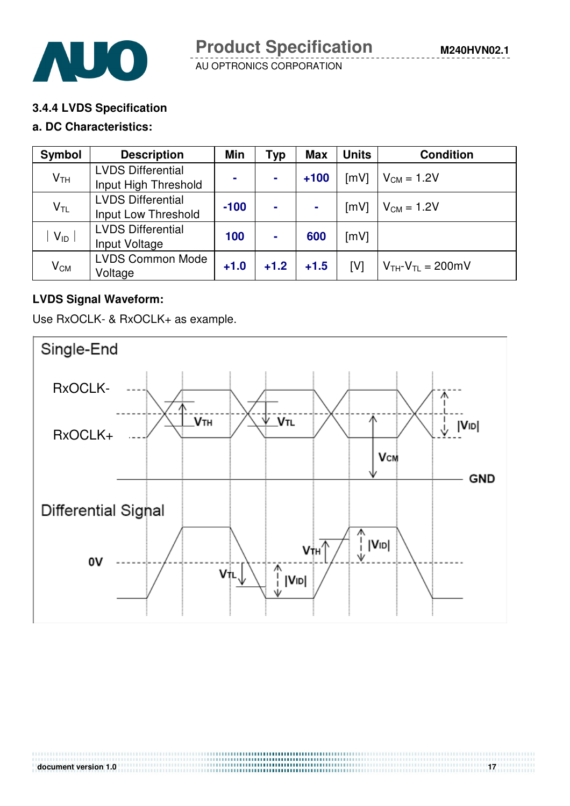



#### **3.4.4 LVDS Specification**

#### **a. DC Characteristics:**

| Symbol          | <b>Description</b>                               | Min    | Typ            | <b>Max</b> | <b>Units</b> | <b>Condition</b>            |
|-----------------|--------------------------------------------------|--------|----------------|------------|--------------|-----------------------------|
| V <sub>TH</sub> | <b>LVDS Differential</b><br>Input High Threshold | $\sim$ | $\blacksquare$ | $+100$     | [mV]         | $V_{CM} = 1.2V$             |
| $V_{TL}$        | <b>LVDS Differential</b><br>Input Low Threshold  | $-100$ | $\blacksquare$ |            | [mV]         | $V_{CM} = 1.2V$             |
| $V_{ID}$        | <b>LVDS Differential</b><br>Input Voltage        | 100    | $\blacksquare$ | 600        | [mV]         |                             |
| $V_{CM}$        | <b>LVDS Common Mode</b><br>Voltage               | $+1.0$ | $+1.2$         | $+1.5$     | [V]          | $V_{TH}$ - $V_{TL}$ = 200mV |

## **LVDS Signal Waveform:**

Use RxOCLK- & RxOCLK+ as example.

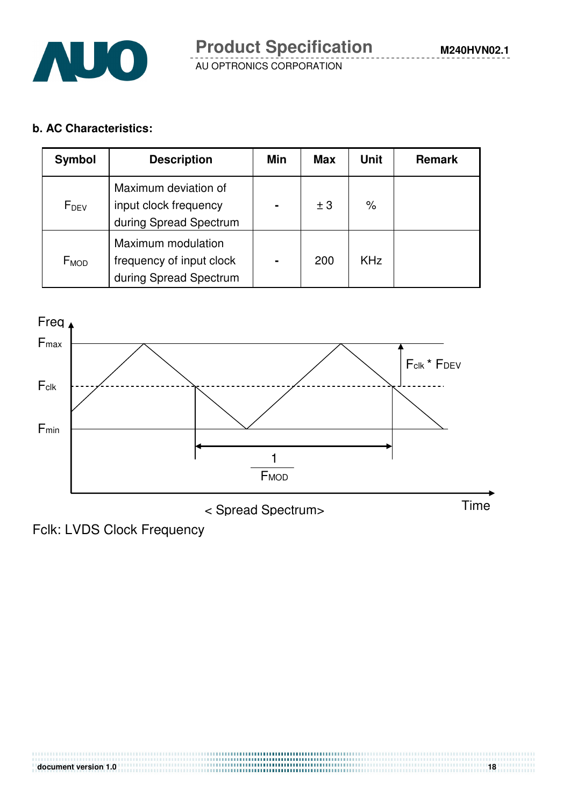

**M240HVN02.1**

## **b. AC Characteristics:**

| Symbol           | <b>Description</b>                                                       | Min | <b>Max</b> | <b>Unit</b> | <b>Remark</b> |
|------------------|--------------------------------------------------------------------------|-----|------------|-------------|---------------|
| $F_{DEV}$        | Maximum deviation of<br>input clock frequency<br>during Spread Spectrum  |     | ± 3        | $\%$        |               |
| F <sub>MOD</sub> | Maximum modulation<br>frequency of input clock<br>during Spread Spectrum |     | 200        | <b>KHz</b>  |               |



< Spread Spectrum> Time

Fclk: LVDS Clock Frequency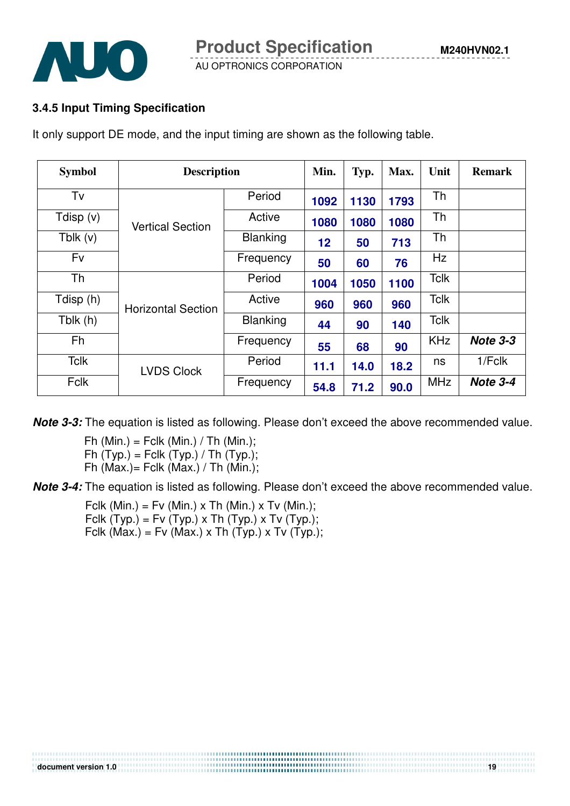

## **3.4.5 Input Timing Specification**

It only support DE mode, and the input timing are shown as the following table.

| <b>Symbol</b> | <b>Description</b>        | Min.            | Typ.              | Max. | Unit | <b>Remark</b> |                 |
|---------------|---------------------------|-----------------|-------------------|------|------|---------------|-----------------|
| Tv            |                           | Period          | 1092              | 1130 | 1793 | Th            |                 |
| Tdisp (v)     | <b>Vertical Section</b>   | Active          | 1080              | 1080 | 1080 | Th            |                 |
| Tblk $(v)$    |                           | <b>Blanking</b> | $12 \overline{ }$ | 50   | 713  | Th            |                 |
| Fv            |                           | Frequency       | 50                | 60   | 76   | <b>Hz</b>     |                 |
| Th            |                           | Period          | 1004              | 1050 | 1100 | <b>Tclk</b>   |                 |
| Tdisp (h)     | <b>Horizontal Section</b> | Active          | 960               | 960  | 960  | <b>Tclk</b>   |                 |
| Tblk $(h)$    |                           | <b>Blanking</b> | 44                | 90   | 140  | <b>Tclk</b>   |                 |
| Fh            |                           | Frequency       | 55                | 68   | 90   | <b>KHz</b>    | <b>Note 3-3</b> |
| <b>Tclk</b>   | <b>LVDS Clock</b>         | Period          | 11.1              | 14.0 | 18.2 | ns            | $1/F$ clk       |
| <b>Fclk</b>   |                           | Frequency       | 54.8              | 71.2 | 90.0 | <b>MHz</b>    | Note 3-4        |

**Note 3-3:** The equation is listed as following. Please don't exceed the above recommended value.

Fh (Min.) = Fclk (Min.) / Th (Min.); Fh  $(Typ.)$  = Fclk  $(Typ.)$  / Th  $(Typ.)$ ; Fh  $(Max.)$  Fclk  $(Max.)$  / Th  $(Min.)$ ;

**Note 3-4:** The equation is listed as following. Please don't exceed the above recommended value.

,,,,,,,,,,,,,,,,,,,,,,,,,,,,,,,,,

Fclk (Min.) = Fv (Min.) x Th (Min.) x Tv (Min.); Fclk  $(Typ.) = Fv(Typ.) \times Th(Typ.) \times Tv(Typ.);$ Fclk (Max.) = Fv (Max.) x Th (Typ.) x Tv (Typ.);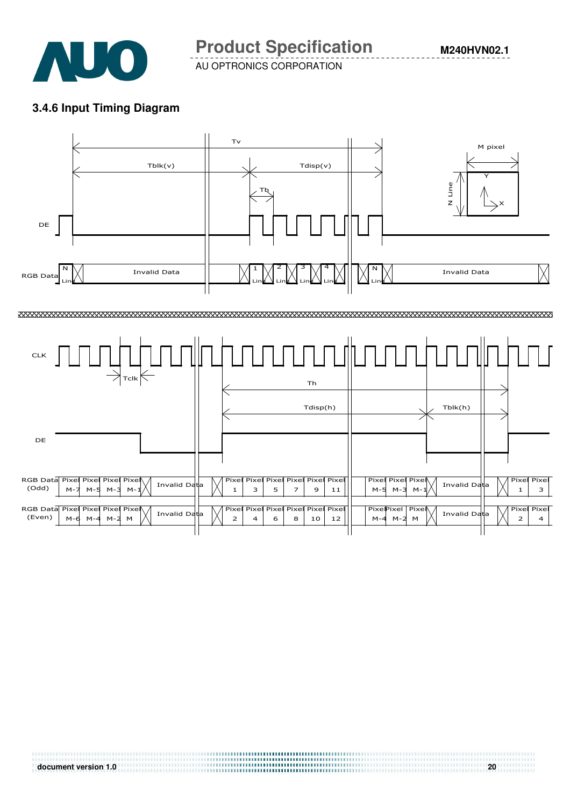

**Product Specification** 

AU OPTRONICS CORPORATION

**M240HVN02.1**

### **3.4.6 Input Timing Diagram**

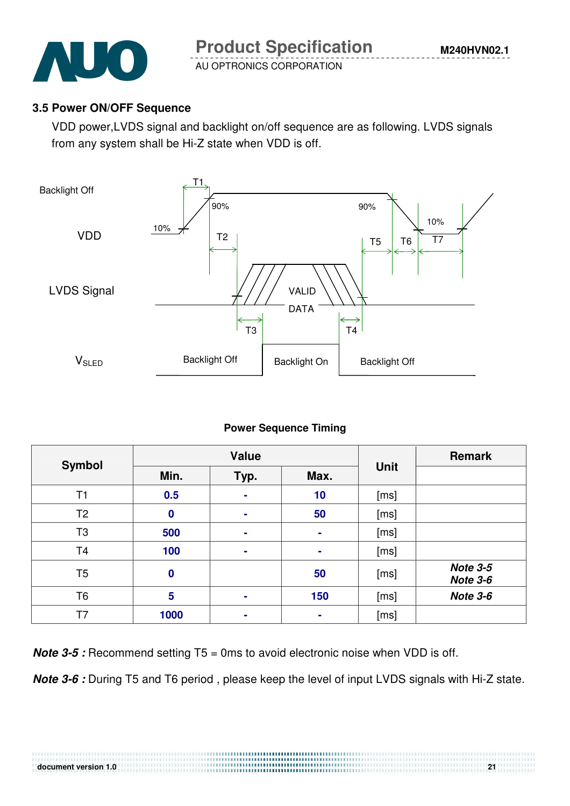

## **3.5 Power ON/OFF Sequence**

VDD power,LVDS signal and backlight on/off sequence are as following. LVDS signals from any system shall be Hi-Z state when VDD is off.



### **Power Sequence Timing**

| Symbol         |                  | <b>Value</b>   |      | <b>Remark</b> |                                    |
|----------------|------------------|----------------|------|---------------|------------------------------------|
|                | Min.<br>Typ.     |                | Max. | <b>Unit</b>   |                                    |
| T1             | 0.5              | $\blacksquare$ | 10   | [ms]          |                                    |
| T <sub>2</sub> | $\boldsymbol{0}$ | $\sim$         | 50   | [ms]          |                                    |
| T <sub>3</sub> | 500              | $\sim$         | ٠    | [ms]          |                                    |
| T <sub>4</sub> | 100              | $\blacksquare$ | ٠    | [ms]          |                                    |
| T <sub>5</sub> | $\bf{0}$         |                | 50   | [ms]          | <b>Note 3-5</b><br><b>Note 3-6</b> |
| T <sub>6</sub> | 5                | ٠              | 150  | [ms]          | Note 3-6                           |
| Т7             | 1000             | ٠              | ٠    | [ms]          |                                    |

**Note 3-5** : Recommend setting T5 = 0ms to avoid electronic noise when VDD is off.

**Note 3-6 :** During T5 and T6 period , please keep the level of input LVDS signals with Hi-Z state.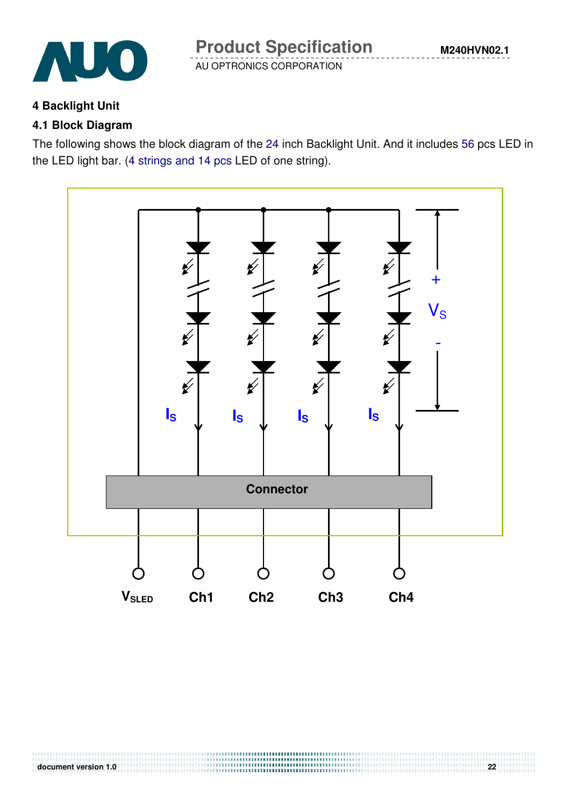

## **4 Backlight Unit**

## **4.1 Block Diagram**

The following shows the block diagram of the 24 inch Backlight Unit. And it includes 56 pcs LED in the LED light bar. (4 strings and 14 pcs LED of one string).

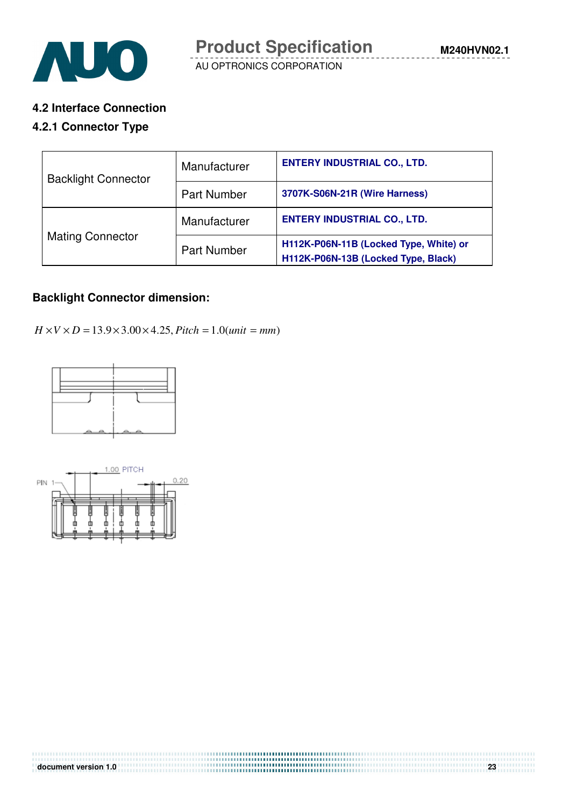

#### **4.2 Interface Connection**

#### **4.2.1 Connector Type**

| <b>Backlight Connector</b> | Manufacturer       | <b>ENTERY INDUSTRIAL CO., LTD.</b>                                            |  |  |  |
|----------------------------|--------------------|-------------------------------------------------------------------------------|--|--|--|
|                            | <b>Part Number</b> | 3707K-S06N-21R (Wire Harness)                                                 |  |  |  |
|                            | Manufacturer       | <b>ENTERY INDUSTRIAL CO., LTD.</b>                                            |  |  |  |
| <b>Mating Connector</b>    | <b>Part Number</b> | H112K-P06N-11B (Locked Type, White) or<br>H112K-P06N-13B (Locked Type, Black) |  |  |  |

#### **Backlight Connector dimension:**

 $H \times V \times D = 13.9 \times 3.00 \times 4.25$ , *Pitch* = 1.0(*unit* = *mm*)



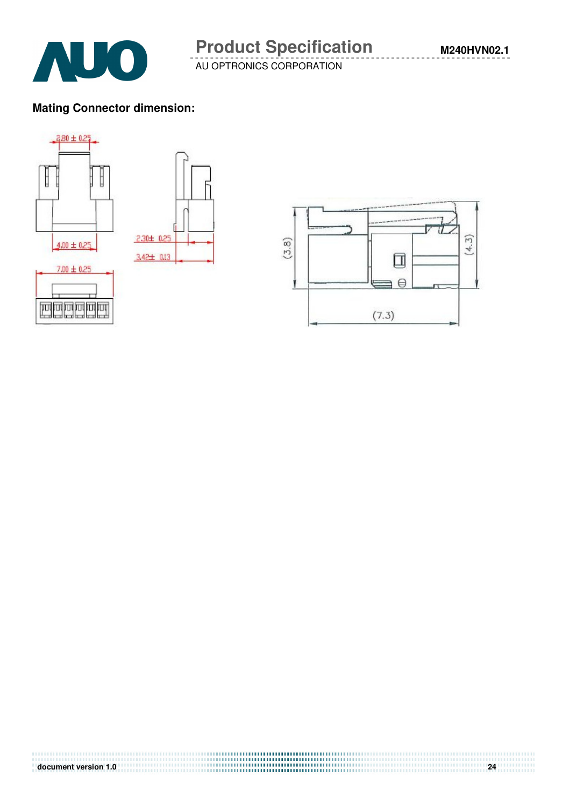



AUO



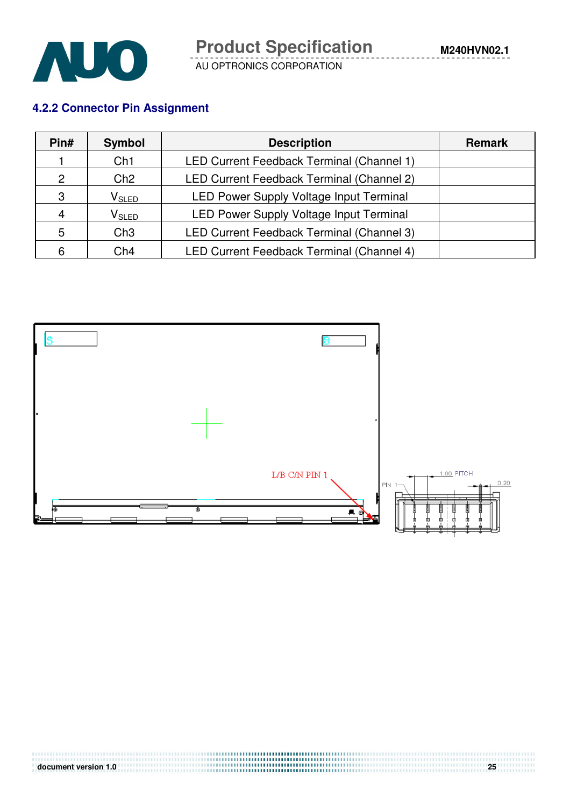

## **4.2.2 Connector Pin Assignment**

| Pin#          | <b>Symbol</b>     | <b>Description</b>                        | <b>Remark</b> |
|---------------|-------------------|-------------------------------------------|---------------|
|               | Ch1               | LED Current Feedback Terminal (Channel 1) |               |
| $\mathcal{P}$ | Ch2               | LED Current Feedback Terminal (Channel 2) |               |
| 3             | V <sub>SLED</sub> | LED Power Supply Voltage Input Terminal   |               |
| 4             | $V_{SLED}$        | LED Power Supply Voltage Input Terminal   |               |
| 5             | Ch3               | LED Current Feedback Terminal (Channel 3) |               |
| 6             | Ch4               | LED Current Feedback Terminal (Channel 4) |               |

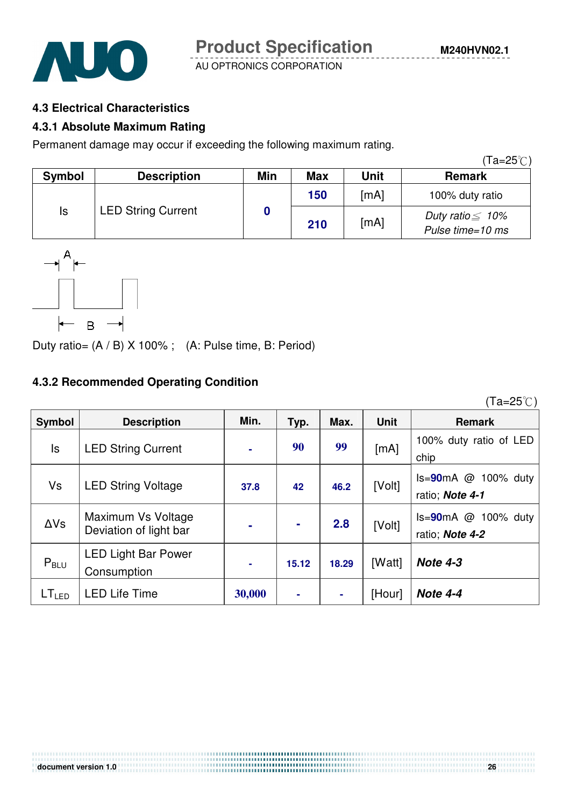



#### **4.3 Electrical Characteristics**

#### **4.3.1 Absolute Maximum Rating**

Permanent damage may occur if exceeding the following maximum rating.

|        |                           |     |            |             | (Ta=25℃)                                   |
|--------|---------------------------|-----|------------|-------------|--------------------------------------------|
| Symbol | <b>Description</b>        | Min | <b>Max</b> | <b>Unit</b> | <b>Remark</b>                              |
|        |                           |     | 150        | [mA]        | 100% duty ratio                            |
| Is     | <b>LED String Current</b> |     | 210        | [mA]        | Duty ratio $\leq 10\%$<br>Pulse time=10 ms |



Duty ratio= (A / B) X 100% ; (A: Pulse time, B: Period)

#### **4.3.2 Recommended Operating Condition**

Symbol **Description** | Min. | Typ. | Max. | Unit | Remark Is LED String Current  $\begin{vmatrix} 1 & 90 & 99 \end{vmatrix}$   $\begin{vmatrix} 90 & 99 \end{vmatrix}$   $\begin{vmatrix} 100\% & d^2 \end{vmatrix}$  ratio of LED chip Vs LED String Voltage **37.8 42 46.2** [Volt] Is=**90**mA @ 100% duty ratio; **Note 4-1**  <sup>∆</sup>Vs Maximum Vs Voltage Maximum Vs Voltage<br>Deviation of light bar **- - 2.8** [Volt] Is=90mA @ 100% duty ratio; **Note 4-2**  $P_{BIII}$ LED Light Bar Power Consumption **- 15.12 18.29** [Watt] **Note 4-3**   $LT_{\text{LED}}$  | LED Life Time  $\vert$  30,000 | - | - | [Hour] | Note 4-4

,,,,,,,,,,,,,,,,,,,,,,,,,,,,,,,,,

 $(Ta=25^{\circ}C)$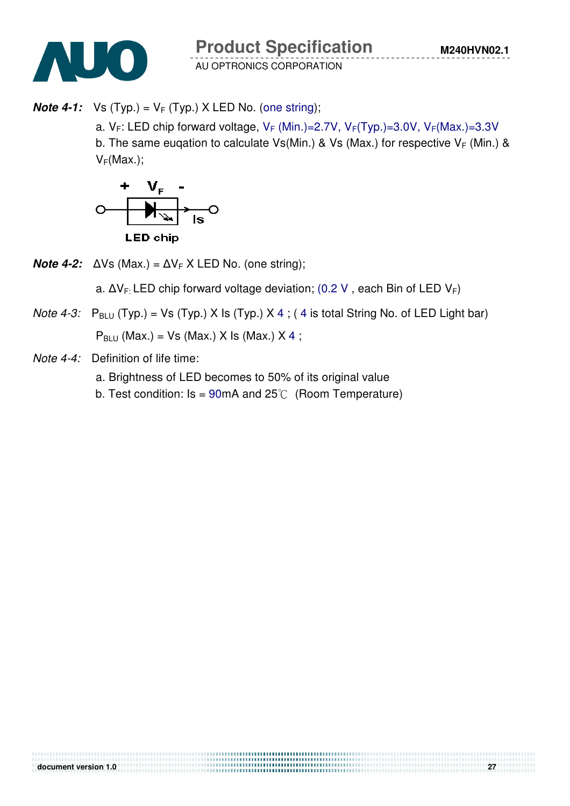**Note 4-1:** Vs  $(Typ.) = V_F(Typ.)$  X LED No. (one string);

a.  $V_F$ : LED chip forward voltage,  $V_F$  (Min.)=2.7V,  $V_F(Typ.)=3.0V$ ,  $V_F(Max.)=3.3V$ b. The same eugation to calculate Vs(Min.) & Vs (Max.) for respective  $V_F$  (Min.) &

 $V_F(Max.);$ 



**Note 4-2:**  $\Delta V$ s (Max.) =  $\Delta V$ <sub>F</sub> X LED No. (one string);

a.  $\Delta V_F$ : LED chip forward voltage deviation; (0.2 V, each Bin of LED V<sub>F</sub>)

,,,,,,,,,,,,,,,,,,,,,,,,,,,,,,,,

*Note 4-3:*  $P_{BLU}$  (Typ.) = Vs (Typ.) X Is (Typ.) X 4; (4 is total String No. of LED Light bar)

 $P_{BLU}$  (Max.) = Vs (Max.) X Is (Max.) X 4;

- Note 4-4: Definition of life time:
	- a. Brightness of LED becomes to 50% of its original value
	- b. Test condition:  $Is = 90mA$  and  $25^{\circ}C$  (Room Temperature)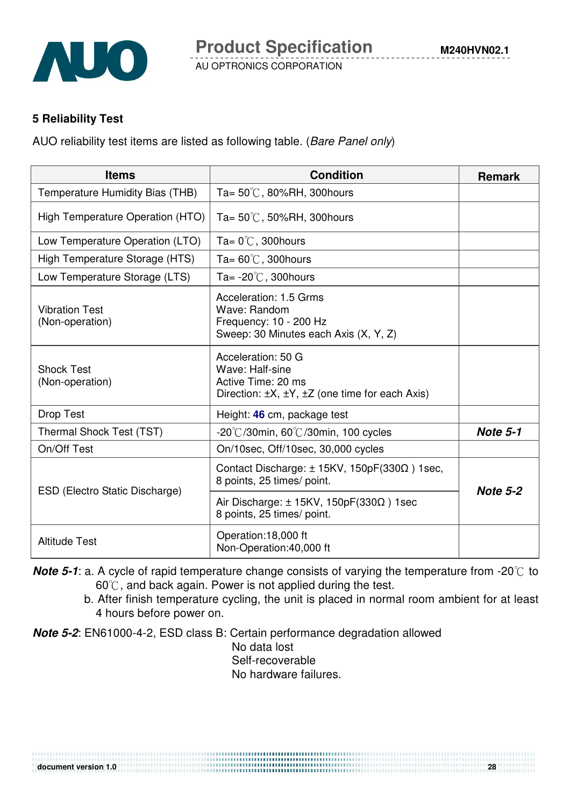

#### **5 Reliability Test**

AUO reliability test items are listed as following table. (Bare Panel only)

| <b>Items</b>                             | <b>Condition</b>                                                                                                               | <b>Remark</b>   |
|------------------------------------------|--------------------------------------------------------------------------------------------------------------------------------|-----------------|
| Temperature Humidity Bias (THB)          | Ta= $50^{\circ}$ C, 80%RH, 300 hours                                                                                           |                 |
| High Temperature Operation (HTO)         | Ta= $50^{\circ}$ C, 50%RH, 300 hours                                                                                           |                 |
| Low Temperature Operation (LTO)          | Ta= $0^{\circ}$ C, 300 hours                                                                                                   |                 |
| High Temperature Storage (HTS)           | Ta= $60^{\circ}$ C, 300 hours                                                                                                  |                 |
| Low Temperature Storage (LTS)            | Ta= $-20^{\circ}$ C, 300 hours                                                                                                 |                 |
| <b>Vibration Test</b><br>(Non-operation) | Acceleration: 1.5 Grms<br>Wave: Random<br>Frequency: 10 - 200 Hz<br>Sweep: 30 Minutes each Axis (X, Y, Z)                      |                 |
| <b>Shock Test</b><br>(Non-operation)     | Acceleration: 50 G<br>Wave: Half-sine<br>Active Time: 20 ms<br>Direction: $\pm X$ , $\pm Y$ , $\pm Z$ (one time for each Axis) |                 |
| <b>Drop Test</b>                         | Height: 46 cm, package test                                                                                                    |                 |
| Thermal Shock Test (TST)                 | $-20^{\circ}$ C/30min, 60 $^{\circ}$ C/30min, 100 cycles                                                                       | <b>Note 5-1</b> |
| On/Off Test                              | On/10sec, Off/10sec, 30,000 cycles                                                                                             |                 |
| ESD (Electro Static Discharge)           | Contact Discharge: $\pm$ 15KV, 150pF(330 $\Omega$ ) 1sec,<br>8 points, 25 times/ point.                                        | <b>Note 5-2</b> |
|                                          | Air Discharge: $\pm$ 15KV, 150pF(330 $\Omega$ ) 1sec<br>8 points, 25 times/ point.                                             |                 |
| <b>Altitude Test</b>                     | Operation:18,000 ft<br>Non-Operation:40,000 ft                                                                                 |                 |

**Note 5-1**: a. A cycle of rapid temperature change consists of varying the temperature from -20 $\degree$  to  $60^{\circ}$ , and back again. Power is not applied during the test.

b. After finish temperature cycling, the unit is placed in normal room ambient for at least 4 hours before power on.

**Note 5-2**: EN61000-4-2, ESD class B: Certain performance degradation allowed

No data lost Self-recoverable No hardware failures.

**document version 1.0** 28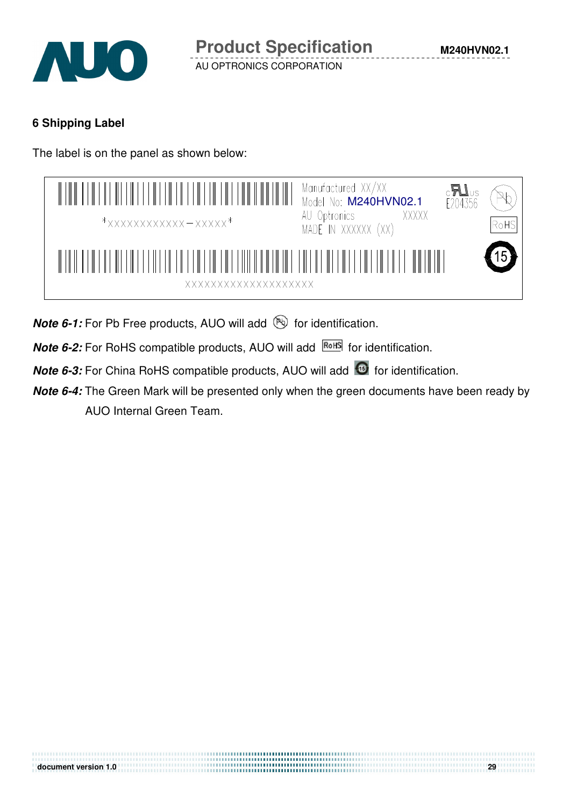

## **6 Shipping Label**

The label is on the panel as shown below:

| $\mathbb{I}$<br>$\mathbb{H}$<br>$\mathbb{H}$<br>$\blacksquare$<br>$\mathbb{R}$<br>$\mathbb{R}$<br>$*$ xxxxxxxxxxxx - xxxxx $*$ | Manufactured XX/XX<br>Model No: M240HVN02.1<br>$c$ <b>A</b><br>$E204356$<br>AU Optronics<br>MADE IN XXXXXX (XX)<br>XXXXX | RoHS |
|--------------------------------------------------------------------------------------------------------------------------------|--------------------------------------------------------------------------------------------------------------------------|------|
| <b>XXXXXXXXXXXXXXXXXXXX</b>                                                                                                    |                                                                                                                          |      |

**Note 6-1:** For Pb Free products, AUO will add **but for identification**.

**Note 6-2:** For RoHS compatible products, AUO will add **ROHS** for identification.

**Note 6-3:** For China RoHS compatible products, AUO will add **6** for identification.

**Note 6-4:** The Green Mark will be presented only when the green documents have been ready by AUO Internal Green Team.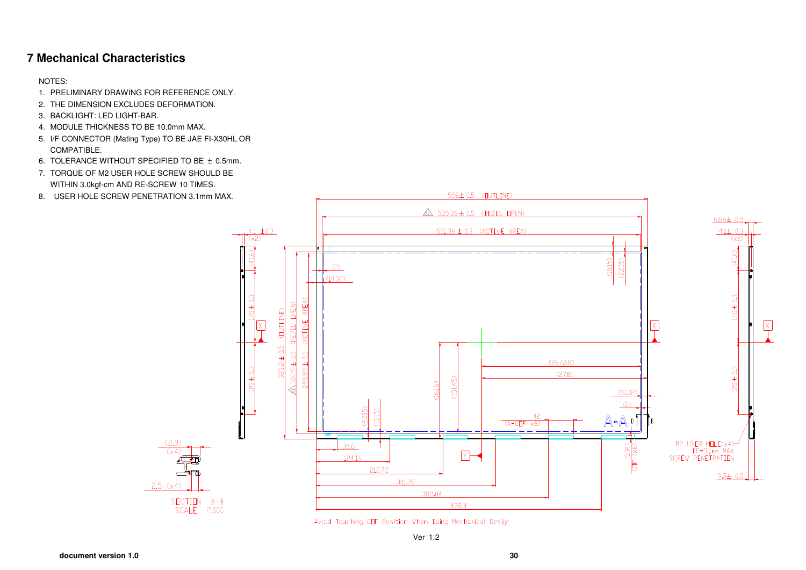#### **7 Mechanical Characteristics**

NOTES:

- 1. PRELIMINARY DRAWING FOR REFERENCE ONLY.
- 2. THE DIMENSION EXCLUDES DEFORMATION.
- 3. BACKLIGHT: LED LIGHT-BAR.
- 4. MODULE THICKNESS TO BE 10.0mm MAX.
- 5. I/F CONNECTOR (Mating Type) TO BE JAE FI-X30HL OR COMPATIBLE.
- 6. TOLERANCE WITHOUT SPECIFIED TO BE  $+$  0.5mm.
- 7. TORQUE OF M2 USER HOLE SCREW SHOULD BE WITHIN 3.0kgf-cm AND RE-SCREW 10 TIMES.
- 8. USER HOLE SCREW PENETRATION 3.1mm MAX.



Avold Touching COF Position When Doing Mechanical Design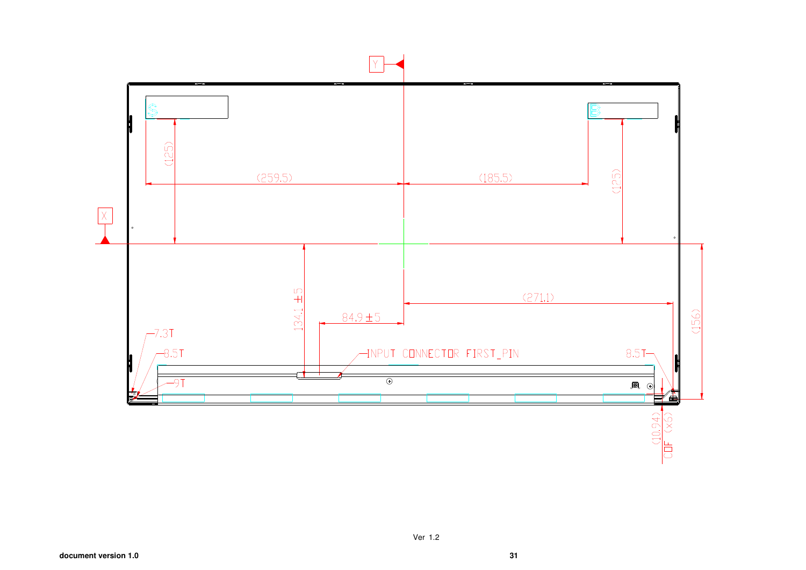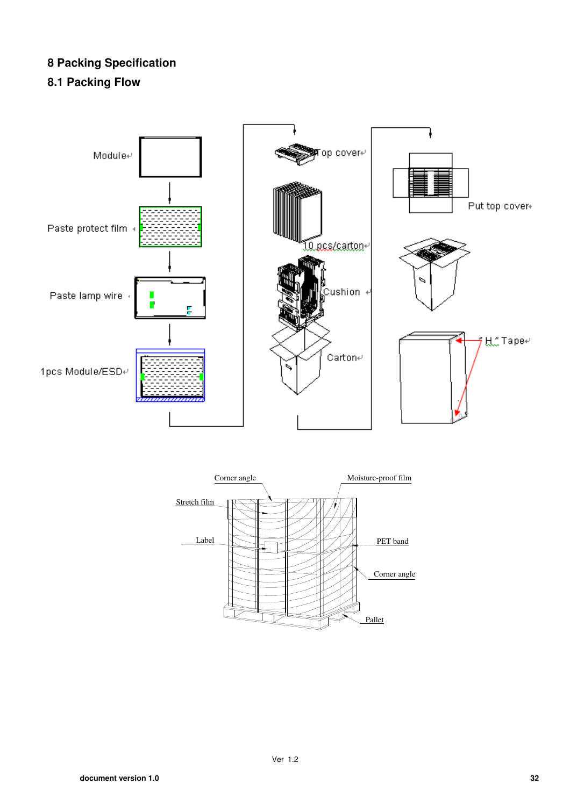## **8 Packing Specification**

## **8.1 Packing Flow**